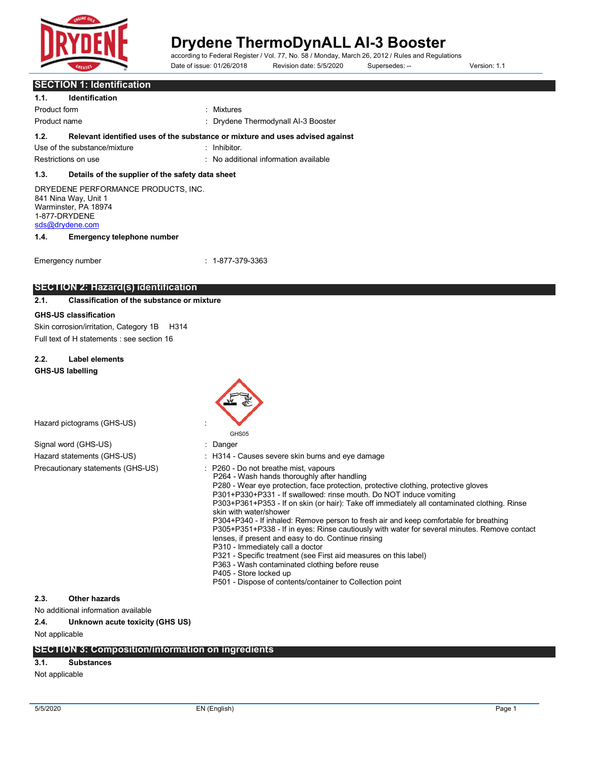

# **Drydene ThermoDynALL AI-3 Booster**<br>according to Federal Register / Vol. 77, No. 58 / Monday, March 26, 2012 / Rules and Regulations

Date of issue: 01/26/2018 Revision date: 5/5/2020 Supersedes: -- Version: 1.1

### **SECTION 1: Identification**

| 1.1.                                                                                                                    | Identification                                                                                                               |                                                                                             |  |
|-------------------------------------------------------------------------------------------------------------------------|------------------------------------------------------------------------------------------------------------------------------|---------------------------------------------------------------------------------------------|--|
| Product form                                                                                                            |                                                                                                                              | : Mixtures                                                                                  |  |
| Product name                                                                                                            |                                                                                                                              | : Drydene Thermodynall AI-3 Booster                                                         |  |
| 1.2.                                                                                                                    | Use of the substance/mixture                                                                                                 | Relevant identified uses of the substance or mixture and uses advised against<br>Inhibitor. |  |
|                                                                                                                         | Restrictions on use                                                                                                          | : No additional information available                                                       |  |
| 1.3.                                                                                                                    | Details of the supplier of the safety data sheet                                                                             |                                                                                             |  |
| DRYEDENE PERFORMANCE PRODUCTS, INC.<br>841 Nina Way, Unit 1<br>Warminster, PA 18974<br>1-877-DRYDENE<br>sds@drydene.com |                                                                                                                              |                                                                                             |  |
| 1.4.                                                                                                                    | <b>Emergency telephone number</b>                                                                                            |                                                                                             |  |
|                                                                                                                         | Emergency number                                                                                                             | $: 1 - 877 - 379 - 3363$                                                                    |  |
|                                                                                                                         | SECTION 2: Hazard(s) identification                                                                                          |                                                                                             |  |
| 2.1.                                                                                                                    | <b>Classification of the substance or mixture</b>                                                                            |                                                                                             |  |
|                                                                                                                         | <b>GHS-US classification</b><br>Skin corrosion/irritation, Category 1B<br>H314<br>Full text of H statements : see section 16 |                                                                                             |  |

**2.2. Label elements GHS-US labelling**

GHS05

Hazard pictograms (GHS-US) :

|                                   | $\therefore$ Danger                                                                                                                                                                                                                                                                                                                                                                                                                                                                                                                                                                                                                                                                                                                                                                                                                                                         |
|-----------------------------------|-----------------------------------------------------------------------------------------------------------------------------------------------------------------------------------------------------------------------------------------------------------------------------------------------------------------------------------------------------------------------------------------------------------------------------------------------------------------------------------------------------------------------------------------------------------------------------------------------------------------------------------------------------------------------------------------------------------------------------------------------------------------------------------------------------------------------------------------------------------------------------|
| Hazard statements (GHS-US)        | : H314 - Causes severe skin burns and eye damage                                                                                                                                                                                                                                                                                                                                                                                                                                                                                                                                                                                                                                                                                                                                                                                                                            |
| Precautionary statements (GHS-US) | : P260 - Do not breathe mist, vapours<br>P264 - Wash hands thoroughly after handling<br>P280 - Wear eye protection, face protection, protective clothing, protective gloves<br>P301+P330+P331 - If swallowed: rinse mouth. Do NOT induce vomiting<br>P303+P361+P353 - If on skin (or hair): Take off immediately all contaminated clothing. Rinse<br>skin with water/shower<br>P304+P340 - If inhaled: Remove person to fresh air and keep comfortable for breathing<br>P305+P351+P338 - If in eyes: Rinse cautiously with water for several minutes. Remove contact<br>lenses, if present and easy to do. Continue rinsing<br>P310 - Immediately call a doctor<br>P321 - Specific treatment (see First aid measures on this label)<br>P363 - Wash contaminated clothing before reuse<br>P405 - Store locked up<br>P501 - Dispose of contents/container to Collection point |

### **2.3. Other hazards**

No additional information available

**2.4. Unknown acute toxicity (GHS US)**

Not applicable

### **SECTION 3: Composition/information on ingredients**

### **3.1. Substances**

Not applicable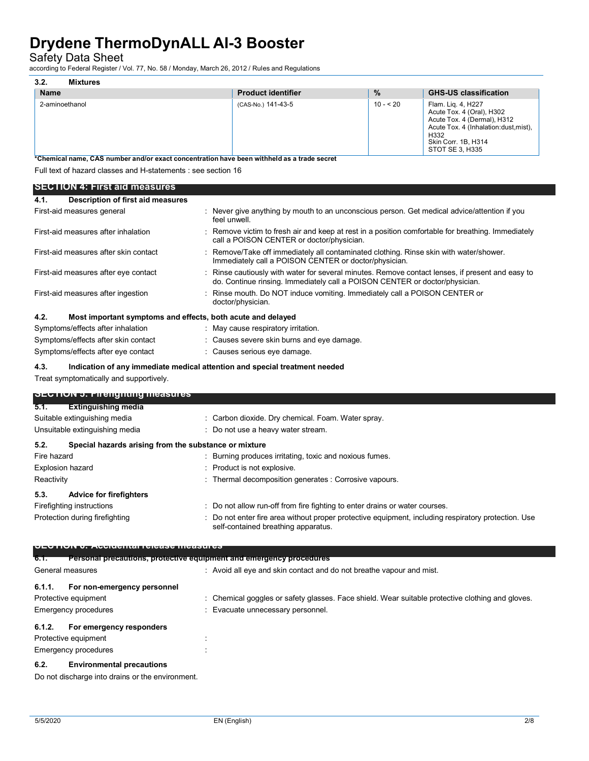Safety Data Sheet

according to Federal Register / Vol. 77, No. 58 / Monday, March 26, 2012 / Rules and Regulations

| 3.2.<br>Mixtures |                           |               |                                                                                                                                                                            |
|------------------|---------------------------|---------------|----------------------------------------------------------------------------------------------------------------------------------------------------------------------------|
| <b>Name</b>      | <b>Product identifier</b> | $\frac{9}{6}$ | <b>GHS-US classification</b>                                                                                                                                               |
| 2-aminoethanol   | (CAS-No.) 141-43-5        | $10 - 20$     | Flam. Liq. 4, H227<br>Acute Tox. 4 (Oral), H302<br>Acute Tox. 4 (Dermal), H312<br>Acute Tox. 4 (Inhalation: dust, mist),<br>H332<br>Skin Corr. 1B, H314<br>STOT SE 3. H335 |

**\*Chemical name, CAS number and/or exact concentration have been withheld as a trade secret**

Full text of hazard classes and H-statements : see section 16

|                             | SECTION 4: First aid measures                                                                                                                                                                                                        |                                                                                                                                                                               |
|-----------------------------|--------------------------------------------------------------------------------------------------------------------------------------------------------------------------------------------------------------------------------------|-------------------------------------------------------------------------------------------------------------------------------------------------------------------------------|
| 4.1.                        | Description of first aid measures                                                                                                                                                                                                    |                                                                                                                                                                               |
|                             | First-aid measures general                                                                                                                                                                                                           | : Never give anything by mouth to an unconscious person. Get medical advice/attention if you<br>feel unwell.                                                                  |
|                             | First-aid measures after inhalation                                                                                                                                                                                                  | Remove victim to fresh air and keep at rest in a position comfortable for breathing. Immediately<br>call a POISON CENTER or doctor/physician.                                 |
|                             | First-aid measures after skin contact                                                                                                                                                                                                | : Remove/Take off immediately all contaminated clothing. Rinse skin with water/shower.<br>Immediately call a POISON CENTER or doctor/physician.                               |
|                             | First-aid measures after eye contact                                                                                                                                                                                                 | Rinse cautiously with water for several minutes. Remove contact lenses, if present and easy to<br>do. Continue rinsing. Immediately call a POISON CENTER or doctor/physician. |
|                             | First-aid measures after ingestion                                                                                                                                                                                                   | : Rinse mouth. Do NOT induce vomiting. Immediately call a POISON CENTER or<br>doctor/physician.                                                                               |
| 4.2.                        | Most important symptoms and effects, both acute and delayed                                                                                                                                                                          |                                                                                                                                                                               |
|                             | Symptoms/effects after inhalation                                                                                                                                                                                                    | May cause respiratory irritation.                                                                                                                                             |
|                             | Symptoms/effects after skin contact                                                                                                                                                                                                  | : Causes severe skin burns and eye damage.                                                                                                                                    |
|                             | Symptoms/effects after eye contact                                                                                                                                                                                                   | : Causes serious eye damage.                                                                                                                                                  |
| 4.3.                        |                                                                                                                                                                                                                                      | Indication of any immediate medical attention and special treatment needed                                                                                                    |
|                             | Treat symptomatically and supportively.                                                                                                                                                                                              |                                                                                                                                                                               |
|                             |                                                                                                                                                                                                                                      |                                                                                                                                                                               |
|                             | <b>OLUTION 5: Firengmung measures</b>                                                                                                                                                                                                |                                                                                                                                                                               |
| 5.1.                        | <b>Extinguishing media</b>                                                                                                                                                                                                           |                                                                                                                                                                               |
|                             | Suitable extinguishing media                                                                                                                                                                                                         | Carbon dioxide. Dry chemical. Foam. Water spray.                                                                                                                              |
|                             | Unsuitable extinguishing media                                                                                                                                                                                                       | : Do not use a heavy water stream.                                                                                                                                            |
| 5.2.                        | Special hazards arising from the substance or mixture                                                                                                                                                                                |                                                                                                                                                                               |
| Fire hazard                 |                                                                                                                                                                                                                                      | Burning produces irritating, toxic and noxious fumes.                                                                                                                         |
|                             | <b>Explosion hazard</b>                                                                                                                                                                                                              | Product is not explosive.                                                                                                                                                     |
| Reactivity                  |                                                                                                                                                                                                                                      | : Thermal decomposition generates : Corrosive vapours.                                                                                                                        |
|                             |                                                                                                                                                                                                                                      |                                                                                                                                                                               |
| 5.3.                        | <b>Advice for firefighters</b>                                                                                                                                                                                                       |                                                                                                                                                                               |
|                             | Firefighting instructions                                                                                                                                                                                                            | Do not allow run-off from fire fighting to enter drains or water courses.                                                                                                     |
|                             | Protection during firefighting                                                                                                                                                                                                       | Do not enter fire area without proper protective equipment, including respiratory protection. Use<br>self-contained breathing apparatus.                                      |
|                             | <u> DEVERTIS DE AVOIDENT DIVIDIT DE LA PRODUCTION DE LA PRODUCTION DE LA PRODUCTION DE LA PRODUCTION DE LA PRODUCTION DE LA PRODUCTION DE LA PRODUCTION DE LA PRODUCTION DE LA PRODUCTION DE LA PRODUCTION DE LA PRODUCTION DE L</u> |                                                                                                                                                                               |
| 6.T.                        | Personal precautions, protective equipment and emergency procedures                                                                                                                                                                  |                                                                                                                                                                               |
|                             | General measures                                                                                                                                                                                                                     | : Avoid all eye and skin contact and do not breathe vapour and mist.                                                                                                          |
| 6.1.1.                      | For non-emergency personnel                                                                                                                                                                                                          |                                                                                                                                                                               |
|                             | Protective equipment                                                                                                                                                                                                                 | Chemical goggles or safety glasses. Face shield. Wear suitable protective clothing and gloves.                                                                                |
| <b>Emergency procedures</b> |                                                                                                                                                                                                                                      | Evacuate unnecessary personnel.                                                                                                                                               |
| 6.1.2.                      | For emergency responders                                                                                                                                                                                                             |                                                                                                                                                                               |
|                             | Protective equipment                                                                                                                                                                                                                 |                                                                                                                                                                               |

Emergency procedures in the state of the state of the state of the state of the state of the state of the state of the state of the state of the state of the state of the state of the state of the state of the state of the

### **6.2. Environmental precautions**

Do not discharge into drains or the environment.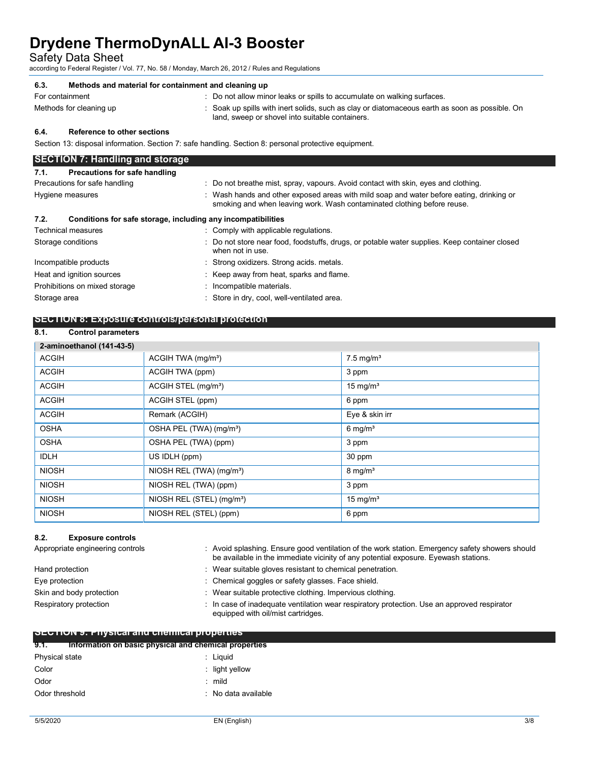Safety Data Sheet

according to Federal Register / Vol. 77, No. 58 / Monday, March 26, 2012 / Rules and Regulations

### **6.3. Methods and material for containment and cleaning up** For containment **interest in the containment** : Do not allow minor leaks or spills to accumulate on walking surfaces. Methods for cleaning up **interpret in the spills** with inert solids, such as clay or diatomaceous earth as soon as possible. On land, sweep or shovel into suitable containers. **6.4. Reference to other sections** Section 13: disposal information. Section 7: safe handling. Section 8: personal protective equipment. **SECTION 7: Handling and storage 7.1. Precautions for safe handling** Precautions for safe handling : Do not breathe mist, spray, vapours. Avoid contact with skin, eyes and clothing. Hygiene measures **induced areas in the set of the set of the set of the set of the set of the set of the set of the set of the set of the set of the Hygiene measures of the set of the set of the set of the set of the set o** smoking and when leaving work. Wash contaminated clothing before reuse. **7.2. Conditions for safe storage, including any incompatibilities** Technical measures **in the contract of the Comply with applicable regulations.** Storage conditions **included to the conduct of the Conditional** : Do not store near food, foodstuffs, drugs, or potable water supplies. Keep container closed when not in use. Incompatible products : Strong oxidizers. Strong acids. metals. Heat and ignition sources **in the starting of the starting of the Keep away from heat, sparks and flame.** Prohibitions on mixed storage : Incompatible materials.

### **SECTION 8: Exposure controls/personal protection**

Storage area : Store in dry, cool, well-ventilated area.

### **8.1. Control parameters**

| 2-aminoethanol (141-43-5) |                                       |                         |
|---------------------------|---------------------------------------|-------------------------|
| <b>ACGIH</b>              | ACGIH TWA $(mg/m3)$                   | $7.5$ mg/m <sup>3</sup> |
| <b>ACGIH</b>              | ACGIH TWA (ppm)                       | 3 ppm                   |
| <b>ACGIH</b>              | ACGIH STEL (mg/m <sup>3</sup> )       | 15 mg/m <sup>3</sup>    |
| <b>ACGIH</b>              | ACGIH STEL (ppm)                      | 6 ppm                   |
| <b>ACGIH</b>              | Remark (ACGIH)                        | Eye & skin irr          |
| <b>OSHA</b>               | OSHA PEL (TWA) (mg/m <sup>3</sup> )   | $6$ mg/m <sup>3</sup>   |
| <b>OSHA</b>               | OSHA PEL (TWA) (ppm)                  | 3 ppm                   |
| <b>IDLH</b>               | US IDLH (ppm)                         | 30 ppm                  |
| <b>NIOSH</b>              | NIOSH REL (TWA) (mg/m <sup>3</sup> )  | $8 \text{ mg/m}^3$      |
| <b>NIOSH</b>              | NIOSH REL (TWA) (ppm)                 | 3 ppm                   |
| <b>NIOSH</b>              | NIOSH REL (STEL) (mg/m <sup>3</sup> ) | 15 mg/m <sup>3</sup>    |
| <b>NIOSH</b>              | NIOSH REL (STEL) (ppm)                | 6 ppm                   |

### **8.2. Exposure controls**

| Appropriate engineering controls                   |  | : Avoid splashing. Ensure good ventilation of the work station. Emergency safety showers should<br>be available in the immediate vicinity of any potential exposure. Eyewash stations. |  |
|----------------------------------------------------|--|----------------------------------------------------------------------------------------------------------------------------------------------------------------------------------------|--|
| Hand protection                                    |  | : Wear suitable gloves resistant to chemical penetration.                                                                                                                              |  |
| Eye protection                                     |  | : Chemical goggles or safety glasses. Face shield.                                                                                                                                     |  |
| Skin and body protection                           |  | : Wear suitable protective clothing. Impervious clothing.                                                                                                                              |  |
| Respiratory protection                             |  | : In case of inadequate ventilation wear respiratory protection. Use an approved respirator<br>equipped with oil/mist cartridges.                                                      |  |
| <b>SECTION 9: Physical and chemical properties</b> |  |                                                                                                                                                                                        |  |

| 9.1.           | Information on basic physical and chemical properties |                                |
|----------------|-------------------------------------------------------|--------------------------------|
| Physical state |                                                       | : Liquid                       |
| Color          |                                                       | $\therefore$ light yellow      |
| Odor           |                                                       | $:$ mild                       |
| Odor threshold |                                                       | $\therefore$ No data available |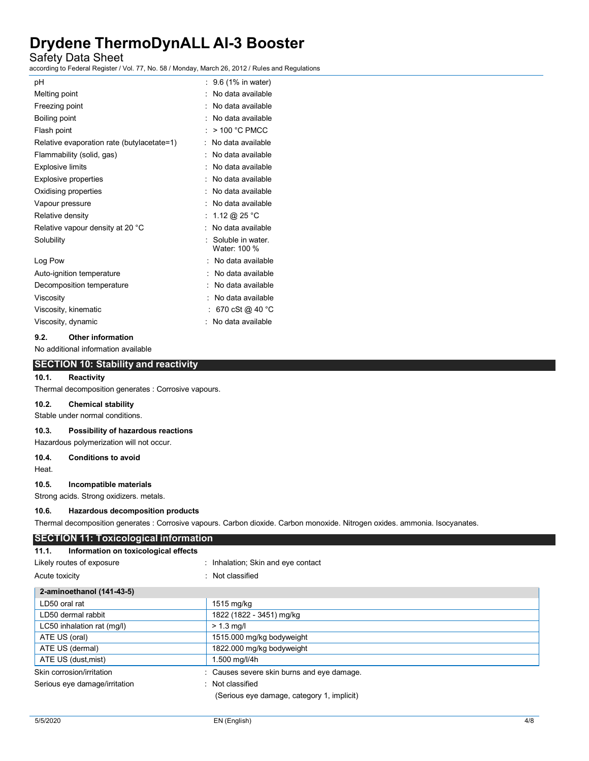### Safety Data Sheet

according to Federal Register / Vol. 77, No. 58 / Monday, March 26, 2012 / Rules and Regulations

| рH                                         | : 9.6 (1% in water)              |
|--------------------------------------------|----------------------------------|
| Melting point                              | No data available                |
| Freezing point                             | No data available                |
| Boiling point                              | No data available                |
| Flash point                                | $>$ 100 °C PMCC                  |
| Relative evaporation rate (butylacetate=1) | No data available                |
| Flammability (solid, gas)                  | No data available                |
| <b>Explosive limits</b>                    | No data available                |
| Explosive properties                       | No data available                |
| Oxidising properties                       | No data available                |
| Vapour pressure                            | No data available                |
| Relative density                           | 1.12 @ 25 °C                     |
| Relative vapour density at 20 °C           | No data available                |
| Solubility                                 | Soluble in water<br>Water: 100 % |
| Log Pow                                    | . No data available              |
| Auto-ignition temperature                  | No data available                |
| Decomposition temperature                  | No data available                |
| Viscosity                                  | No data available                |
| Viscosity, kinematic                       | 670 cSt @ 40 °C                  |
| Viscosity, dynamic                         | No data available                |

#### **9.2. Other information**

No additional information available

### **SECTION 10: Stability and reactivity**

### **10.1. Reactivity**

Thermal decomposition generates : Corrosive vapours.

### **10.2. Chemical stability**

Stable under normal conditions.

### **10.3. Possibility of hazardous reactions**

Hazardous polymerization will not occur.

#### **10.4. Conditions to avoid**

Heat.

#### **10.5. Incompatible materials**

Strong acids. Strong oxidizers. metals.

### **10.6. Hazardous decomposition products**

Thermal decomposition generates : Corrosive vapours. Carbon dioxide. Carbon monoxide. Nitrogen oxides. ammonia. Isocyanates.

| <b>SECTION 11: Toxicological information</b>  |                                            |  |
|-----------------------------------------------|--------------------------------------------|--|
| Information on toxicological effects<br>11.1. |                                            |  |
| Likely routes of exposure                     | : Inhalation; Skin and eye contact         |  |
| Acute toxicity                                | : Not classified                           |  |
| 2-aminoethanol (141-43-5)                     |                                            |  |
| LD50 oral rat                                 | 1515 mg/kg                                 |  |
| LD50 dermal rabbit                            | 1822 (1822 - 3451) mg/kg                   |  |
| LC50 inhalation rat (mg/l)                    | $> 1.3$ mg/l                               |  |
| ATE US (oral)                                 | 1515.000 mg/kg bodyweight                  |  |
| ATE US (dermal)                               | 1822.000 mg/kg bodyweight                  |  |
| ATE US (dust, mist)                           | 1.500 mg/l/4h                              |  |
| Skin corrosion/irritation                     | : Causes severe skin burns and eye damage. |  |
| Serious eye damage/irritation                 | : Not classified                           |  |
|                                               | (Serious eye damage, category 1, implicit) |  |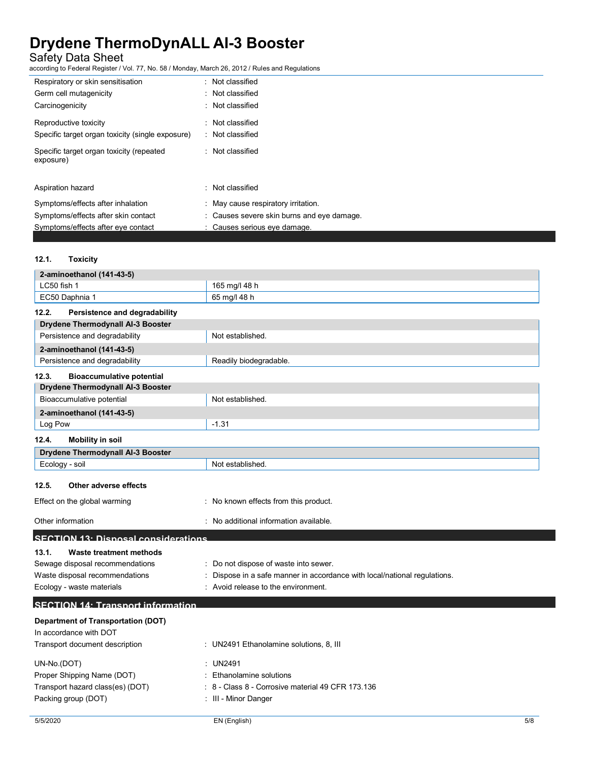Safety Data Sheet

according to Federal Register / Vol. 77, No. 58 / Monday, March 26, 2012 / Rules and Regulations

| Respiratory or skin sensitisation                     | : Not classified                           |
|-------------------------------------------------------|--------------------------------------------|
| Germ cell mutagenicity                                | · Not classified                           |
| Carcinogenicity                                       | : Not classified                           |
| Reproductive toxicity                                 | $:$ Not classified                         |
| Specific target organ toxicity (single exposure)      | : Not classified                           |
| Specific target organ toxicity (repeated<br>exposure) | : Not classified                           |
| Aspiration hazard                                     | · Not classified                           |
| Symptoms/effects after inhalation                     | : May cause respiratory irritation.        |
| Symptoms/effects after skin contact                   | : Causes severe skin burns and eye damage. |
| Symptoms/effects after eye contact                    | : Causes serious eye damage.               |

### **12.1. Toxicity**

|                           | 2-aminoethanol (141-43-5)                 |                                                                         |
|---------------------------|-------------------------------------------|-------------------------------------------------------------------------|
| LC50 fish 1               |                                           | 165 mg/l 48 h                                                           |
| EC50 Daphnia 1            |                                           | 65 mg/l 48 h                                                            |
| 12.2.                     | Persistence and degradability             |                                                                         |
|                           | Drydene Thermodynall Al-3 Booster         |                                                                         |
|                           | Persistence and degradability             | Not established.                                                        |
|                           | 2-aminoethanol (141-43-5)                 |                                                                         |
|                           | Persistence and degradability             | Readily biodegradable.                                                  |
| 12.3.                     | <b>Bioaccumulative potential</b>          |                                                                         |
|                           | <b>Drydene Thermodynall AI-3 Booster</b>  |                                                                         |
|                           | Bioaccumulative potential                 | Not established.                                                        |
|                           | 2-aminoethanol (141-43-5)                 |                                                                         |
| Log Pow                   |                                           | $-1.31$                                                                 |
| 12.4.                     | <b>Mobility in soil</b>                   |                                                                         |
|                           | <b>Drydene Thermodynall Al-3 Booster</b>  |                                                                         |
| Ecology - soil            |                                           | Not established.                                                        |
|                           |                                           |                                                                         |
| 12.5.                     | Other adverse effects                     |                                                                         |
|                           | Effect on the global warming              | : No known effects from this product.                                   |
| Other information         |                                           | : No additional information available.                                  |
|                           | SECTION 13: Dienosal considerations       |                                                                         |
| 13.1.                     | Waste treatment methods                   |                                                                         |
|                           | Sewage disposal recommendations           | : Do not dispose of waste into sewer.                                   |
|                           | Waste disposal recommendations            | Dispose in a safe manner in accordance with local/national regulations. |
| Ecology - waste materials |                                           | : Avoid release to the environment.                                     |
|                           | <b>SECTION 14: Transport information</b>  |                                                                         |
|                           | <b>Department of Transportation (DOT)</b> |                                                                         |
| In accordance with DOT    |                                           |                                                                         |
|                           | Transport document description            | : UN2491 Ethanolamine solutions, 8, III                                 |
| UN-No.(DOT)               |                                           | : UN2491                                                                |
|                           | Proper Shipping Name (DOT)                | Ethanolamine solutions                                                  |
|                           | Transport hazard class(es) (DOT)          | : 8 - Class 8 - Corrosive material 49 CFR 173.136                       |
| Packing group (DOT)       |                                           | : III - Minor Danger                                                    |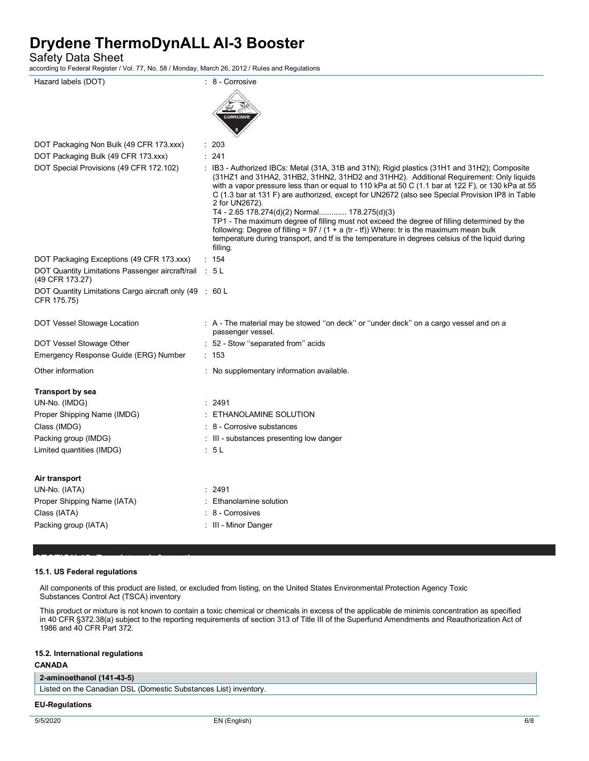Safety Data Sheet

according to Federal Register / Vol. 77, No. 58 / Monday, March 26, 2012 / Rules and Regulations

| Hazard labels (DOT)                                                       | : 8 - Corrosive                                                                                                                                                                                                                                                                                                                                                                                                                                                                                                                                                                                                                                                                                                                                                             |
|---------------------------------------------------------------------------|-----------------------------------------------------------------------------------------------------------------------------------------------------------------------------------------------------------------------------------------------------------------------------------------------------------------------------------------------------------------------------------------------------------------------------------------------------------------------------------------------------------------------------------------------------------------------------------------------------------------------------------------------------------------------------------------------------------------------------------------------------------------------------|
|                                                                           | <b>CORROSIVE</b>                                                                                                                                                                                                                                                                                                                                                                                                                                                                                                                                                                                                                                                                                                                                                            |
| DOT Packaging Non Bulk (49 CFR 173.xxx)                                   | : 203                                                                                                                                                                                                                                                                                                                                                                                                                                                                                                                                                                                                                                                                                                                                                                       |
| DOT Packaging Bulk (49 CFR 173.xxx)                                       | : 241                                                                                                                                                                                                                                                                                                                                                                                                                                                                                                                                                                                                                                                                                                                                                                       |
| DOT Special Provisions (49 CFR 172.102)                                   | : IB3 - Authorized IBCs: Metal (31A, 31B and 31N); Rigid plastics (31H1 and 31H2); Composite<br>(31HZ1 and 31HA2, 31HB2, 31HN2, 31HD2 and 31HH2). Additional Requirement: Only liquids<br>with a vapor pressure less than or equal to 110 kPa at 50 C (1.1 bar at 122 F), or 130 kPa at 55<br>C (1.3 bar at 131 F) are authorized, except for UN2672 (also see Special Provision IP8 in Table<br>2 for UN2672).<br>T4 - 2.65 178.274(d)(2) Normal 178.275(d)(3)<br>TP1 - The maximum degree of filling must not exceed the degree of filling determined by the<br>following: Degree of filling = $97 / (1 + a (tr - tf))$ Where: tr is the maximum mean bulk<br>temperature during transport, and tf is the temperature in degrees celsius of the liquid during<br>filling. |
| DOT Packaging Exceptions (49 CFR 173.xxx)                                 | : 154                                                                                                                                                                                                                                                                                                                                                                                                                                                                                                                                                                                                                                                                                                                                                                       |
| DOT Quantity Limitations Passenger aircraft/rail : 5 L<br>(49 CFR 173.27) |                                                                                                                                                                                                                                                                                                                                                                                                                                                                                                                                                                                                                                                                                                                                                                             |
| DOT Quantity Limitations Cargo aircraft only (49 : 60 L<br>CFR 175.75)    |                                                                                                                                                                                                                                                                                                                                                                                                                                                                                                                                                                                                                                                                                                                                                                             |
| DOT Vessel Stowage Location                                               | : A - The material may be stowed "on deck" or "under deck" on a cargo vessel and on a<br>passenger vessel.                                                                                                                                                                                                                                                                                                                                                                                                                                                                                                                                                                                                                                                                  |
| DOT Vessel Stowage Other                                                  | : 52 - Stow "separated from" acids                                                                                                                                                                                                                                                                                                                                                                                                                                                                                                                                                                                                                                                                                                                                          |
| Emergency Response Guide (ERG) Number                                     | : 153                                                                                                                                                                                                                                                                                                                                                                                                                                                                                                                                                                                                                                                                                                                                                                       |
| Other information                                                         | : No supplementary information available.                                                                                                                                                                                                                                                                                                                                                                                                                                                                                                                                                                                                                                                                                                                                   |
| <b>Transport by sea</b>                                                   |                                                                                                                                                                                                                                                                                                                                                                                                                                                                                                                                                                                                                                                                                                                                                                             |
| UN-No. (IMDG)                                                             | : 2491                                                                                                                                                                                                                                                                                                                                                                                                                                                                                                                                                                                                                                                                                                                                                                      |
| Proper Shipping Name (IMDG)                                               | ETHANOLAMINE SOLUTION                                                                                                                                                                                                                                                                                                                                                                                                                                                                                                                                                                                                                                                                                                                                                       |
| Class (IMDG)                                                              | 8 - Corrosive substances                                                                                                                                                                                                                                                                                                                                                                                                                                                                                                                                                                                                                                                                                                                                                    |
| Packing group (IMDG)                                                      | : III - substances presenting low danger                                                                                                                                                                                                                                                                                                                                                                                                                                                                                                                                                                                                                                                                                                                                    |
| Limited quantities (IMDG)                                                 | : 5L                                                                                                                                                                                                                                                                                                                                                                                                                                                                                                                                                                                                                                                                                                                                                                        |
| Air transport                                                             |                                                                                                                                                                                                                                                                                                                                                                                                                                                                                                                                                                                                                                                                                                                                                                             |
| UN-No. (IATA)                                                             | 2491                                                                                                                                                                                                                                                                                                                                                                                                                                                                                                                                                                                                                                                                                                                                                                        |
| Proper Shipping Name (IATA)                                               | Ethanolamine solution                                                                                                                                                                                                                                                                                                                                                                                                                                                                                                                                                                                                                                                                                                                                                       |
| Class (IATA)                                                              | 8 - Corrosives                                                                                                                                                                                                                                                                                                                                                                                                                                                                                                                                                                                                                                                                                                                                                              |
| Packing group (IATA)                                                      | : III - Minor Danger                                                                                                                                                                                                                                                                                                                                                                                                                                                                                                                                                                                                                                                                                                                                                        |

### **15.1. US Federal regulations**

**SECTION 15: Regulatory information**

All components of this product are listed, or excluded from listing, on the United States Environmental Protection Agency Toxic Substances Control Act (TSCA) inventory

This product or mixture is not known to contain a toxic chemical or chemicals in excess of the applicable de minimis concentration as specified in 40 CFR §372.38(a) subject to the reporting requirements of section 313 of Title III of the Superfund Amendments and Reauthorization Act of 1986 and 40 CFR Part 372.

### **15.2. International regulations**

### **CANADA**

### **2-aminoethanol (141-43-5)**

Listed on the Canadian DSL (Domestic Substances List) inventory.

### **EU-Regulations**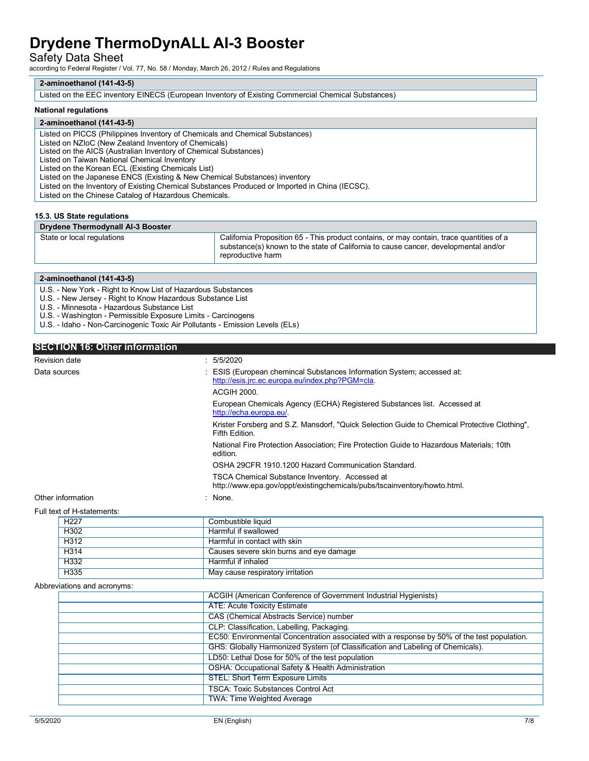Safety Data Sheet

according to Federal Register / Vol. 77, No. 58 / Monday, March 26, 2012 / Rules and Regulations

### **2-aminoethanol (141-43-5)**

Listed on the EEC inventory EINECS (European Inventory of Existing Commercial Chemical Substances)

### **National regulations**

### **2-aminoethanol (141-43-5)** Listed on PICCS (Philippines Inventory of Chemicals and Chemical Substances) Listed on NZIoC (New Zealand Inventory of Chemicals) Listed on the AICS (Australian Inventory of Chemical Substances) Listed on Taiwan National Chemical Inventory

Listed on the Korean ECL (Existing Chemicals List)

Listed on the Japanese ENCS (Existing & New Chemical Substances) inventory

Listed on the Inventory of Existing Chemical Substances Produced or Imported in China (IECSC).

Listed on the Chinese Catalog of Hazardous Chemicals.

#### **15.3. US State regulations**

#### **Drydene Thermodynall AI-3 Booster**

State or local regulations **California Proposition 65 - This product contains**, or may contain, trace quantities of a substance(s) known to the state of California to cause cancer, developmental and/or reproductive harm

#### **2-aminoethanol (141-43-5)**

U.S. - New York - Right to Know List of Hazardous Substances

U.S. - New Jersey - Right to Know Hazardous Substance List

U.S. - Minnesota - Hazardous Substance List

U.S. - Washington - Permissible Exposure Limits - Carcinogens

U.S. - Idaho - Non-Carcinogenic Toxic Air Pollutants - Emission Levels (ELs)

### **SECTION 16: Other information**

| <b>Revision date</b>       | : 5/5/2020                                                                                                                 |
|----------------------------|----------------------------------------------------------------------------------------------------------------------------|
| Data sources               | : ESIS (European chemincal Substances Information System; accessed at:<br>http://esis.jrc.ec.europa.eu/index.php?PGM=cla.  |
|                            | <b>ACGIH 2000.</b>                                                                                                         |
|                            | European Chemicals Agency (ECHA) Registered Substances list. Accessed at<br>http://echa.europa.eu/                         |
|                            | Krister Forsberg and S.Z. Mansdorf, "Quick Selection Guide to Chemical Protective Clothing",<br>Fifth Edition.             |
|                            | National Fire Protection Association; Fire Protection Guide to Hazardous Materials; 10th<br>edition.                       |
|                            | OSHA 29CFR 1910.1200 Hazard Communication Standard.                                                                        |
|                            | TSCA Chemical Substance Inventory. Accessed at<br>http://www.epa.gov/oppt/existingchemicals/pubs/tscainventory/howto.html. |
| Other information          | : None.                                                                                                                    |
| Full text of H-statements: |                                                                                                                            |
| H <sub>227</sub>           | Combustible liquid                                                                                                         |

| H <sub>227</sub> | Combustible liquid                      |
|------------------|-----------------------------------------|
| H302             | Harmful if swallowed                    |
| H312             | Harmful in contact with skin            |
| H314             | Causes severe skin burns and eye damage |
| H332             | Harmful if inhaled                      |
| H335             | May cause respiratory irritation        |

#### Abbreviations and acronyms:

| ACGIH (American Conference of Government Industrial Hygienists)                             |
|---------------------------------------------------------------------------------------------|
| <b>ATE: Acute Toxicity Estimate</b>                                                         |
| <b>CAS (Chemical Abstracts Service) number</b>                                              |
| CLP: Classification, Labelling, Packaging.                                                  |
| EC50: Environmental Concentration associated with a response by 50% of the test population. |
| GHS: Globally Harmonized System (of Classification and Labeling of Chemicals).              |
| LD50: Lethal Dose for 50% of the test population                                            |
| OSHA: Occupational Safety & Health Administration                                           |
| <b>STEL: Short Term Exposure Limits</b>                                                     |
| <b>TSCA: Toxic Substances Control Act</b>                                                   |
| <b>TWA: Time Weighted Average</b>                                                           |